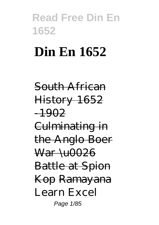# **Din En 1652**

South African History 1652 -1902 Culminating in the Anglo Boer  $\frac{\text{War}}{\text{U0026}}$ Battle at Spion Kop Ramayana *Learn Excel* Page 1/85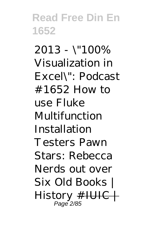*2013 - \"100% Visualization in Excel\": Podcast #1652* How to use Fluke Multifunction Installation Testers *Pawn Stars: Rebecca Nerds out over Six Old Books | History* #IUIC | Page 2/85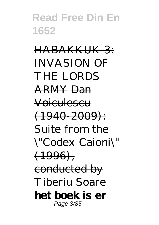HABAKKUK 3: INVASION OF THE LORDS ARMY Dan Voiculescu  $(1940 - 2009)$ : Suite from the \"Codex Caioni\"  $(1996)$ . conducted by Tiberiu Soare **het boek is er** Page 3/85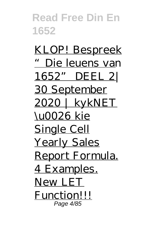KLOP! Bespreek "Die leuens van 1652" DEEL 2| 30 September 2020 | kykNET \u0026 kie Single Cell Yearly Sales Report Formula. 4 Examples. New LET Function!!! Page 4/85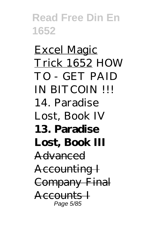Excel Magic Trick 1652 *HOW TO - GET PAID IN BITCOIN !!! 14. Paradise Lost, Book IV* **13. Paradise Lost, Book III** Advanced Accounting I Company Final Accounts I Page 5/85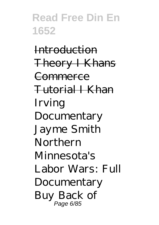Introduction Theory I Khans **Commerce** Tutorial I Khan *Irving Documentary Jayme Smith Northern Minnesota's Labor Wars: Full Documentary Buy Back of* Page 6/85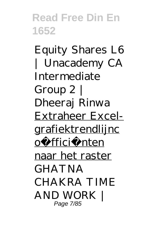*Equity Shares L6 | Unacademy CA Intermediate Group 2 | Dheeraj Rinwa* Extraheer Excelgrafiektrendlijnc oë fficië nten naar het raster *GHATNA CHAKRA TIME AND WORK |* Page 7/85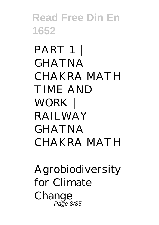*PART 1 | GHATNA CHAKRA MATH TIME AND WORK | RAILWAY GHATNA CHAKRA MATH*

Agrobiodiversity for Climate Change Page 8/85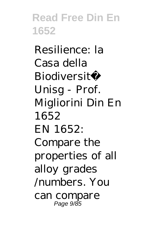Resilience: la Casa della Biodiversità Unisg - Prof. Migliorini Din En 1652 EN 1652: Compare the properties of all alloy grades /numbers. You can compare Page 9/85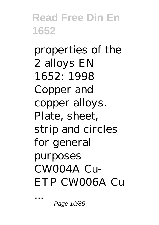properties of the 2 alloys EN 1652: 1998 Copper and copper alloys. Plate, sheet, strip and circles for general purposes  $CMOO4A$   $Cu$ ETP CW006A Cu

Page 10/85

...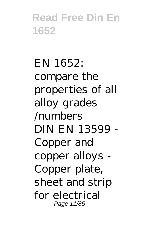EN 1652: compare the properties of all alloy grades /numbers DIN EN 13599 - Copper and copper alloys - Copper plate, sheet and strip for electrical Page 11/85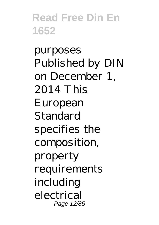purposes Published by DIN on December 1, 2014 This European **Standard** specifies the composition, property requirements including electrical Page 12/85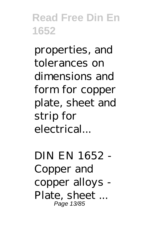properties, and tolerances on dimensions and form for copper plate, sheet and strip for electrical...

DIN EN 1652 - Copper and copper alloys - Plate, sheet ... Page 13/85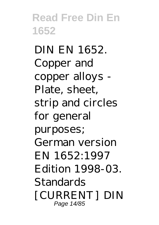DIN EN 1652. Copper and copper alloys - Plate, sheet, strip and circles for general purposes; German version EN 1652:1997 Edition 1998-03. **Standards** [CURRENT] DIN Page 14/85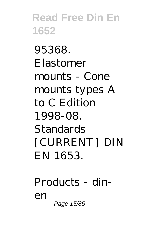95368. Elastomer mounts - Cone mounts types A to C Edition 1998-08. Standards [CURRENT] DIN EN 1653.

Products - dinen Page 15/85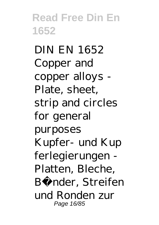DIN EN 1652 Copper and copper alloys - Plate, sheet, strip and circles for general purposes Kupfer- und Kup ferlegierungen - Platten, Bleche, Bänder, Streifen und Ronden zur Page 16/85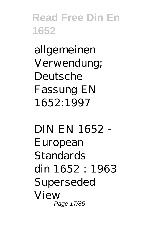allgemeinen Verwendung; Deutsche Fassung EN 1652:1997

DIN EN 1652 - European **Standards** din 1652 : 1963 Superseded View Page 17/85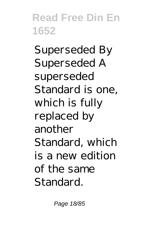Superseded By Superseded A superseded Standard is one, which is fully replaced by another Standard, which is a new edition of the same Standard.

Page 18/85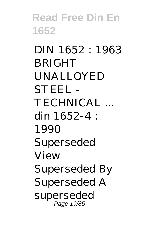DIN 1652 : 1963 BRIGHT UNALLOYED STEEL - TECHNICAL ... din 1652-4 : 1990 Superseded View Superseded By Superseded A superseded Page 19/85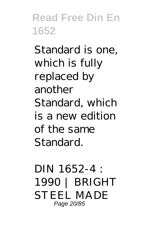Standard is one, which is fully replaced by another Standard, which is a new edition of the same Standard.

DIN 1652-4 : 1990 | BRIGHT STEEL MADE Page 20/85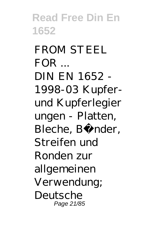FROM STEEL  $FOR$ .... DIN EN 1652 - 1998-03 Kupferund Kupferlegier ungen - Platten, Bleche, Bänder, Streifen und Ronden zur allgemeinen Verwendung; Deutsche Page 21/85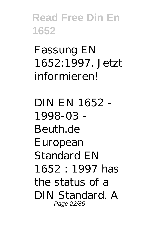Fassung EN 1652:1997. Jetzt informieren!

DIN EN 1652 - 1998-03 - Beuth.de European Standard EN 1652 : 1997 has the status of a DIN Standard. A Page 22/85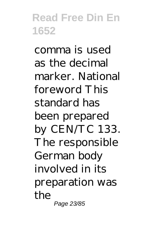comma is used as the decimal marker. National foreword This standard has been prepared by CEN/TC 133. The responsible German body involved in its preparation was the Page 23/85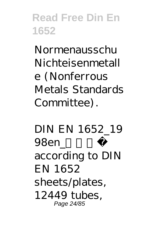Normenausschu Nichteisenmetall e (Nonferrous Metals Standards Committee).

DIN EN 1652\_19 98en\_ according to DIN EN 1652 sheets/plates, 12449 tubes, Page 24/85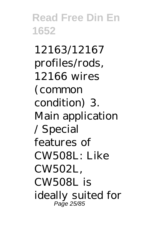12163/12167 profiles/rods, 12166 wires (common condition) 3. Main application / Special features of CW508L: Like CW502L, CW508L is ideally suited for Page 25/85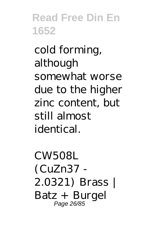cold forming, although somewhat worse due to the higher zinc content, but still almost identical.

CW508L (CuZn37 - 2.0321) Brass | Batz + Burgel Page 26/85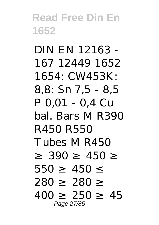DIN EN 12163 - 167 12449 1652 1654: CW453K: 8,8: Sn 7,5 - 8,5 P 0,01 - 0,4 Cu bal. Bars M R390 R450 R550 Tubes M R450  $390 - 450$  $550 - 450$ 280 280 400 250 45 Page 27/85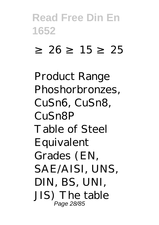#### ≥ 26 ≥ 15 ≥ 25

Product Range Phoshorbronzes, CuSn6, CuSn8, CuSn8P Table of Steel Equivalent Grades (EN, SAE/AISI, UNS, DIN, BS, UNI, JIS) The table Page 28/85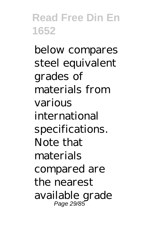below compares steel equivalent grades of materials from various international specifications. Note that materials compared are the nearest available grade Page 29/85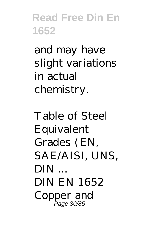and may have slight variations in actual chemistry.

Table of Steel Equivalent Grades (EN, SAE/AISI, UNS, DIN ... DIN EN 1652 Copper and Page 30/85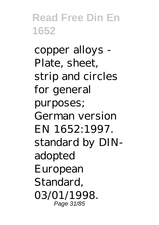copper alloys - Plate, sheet, strip and circles for general purposes; German version EN 1652:1997. standard by DINadopted European Standard, 03/01/1998. Page 31/85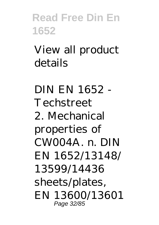View all product details

DIN EN 1652 - Techstreet 2. Mechanical properties of CW004A. n. DIN EN 1652/13148/ 13599/14436 sheets/plates, EN 13600/13601 Page 32/85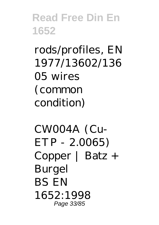rods/profiles, EN 1977/13602/136 05 wires (common condition)

CW004A (Cu-ETP - 2.0065) Copper | Batz + Burgel BS EN 1652:1998 Page 33/85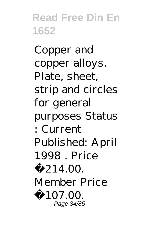Copper and copper alloys. Plate, sheet, strip and circles for general purposes Status : Current Published: April 1998 . Price £ 214.00 Member Price £ 107.00 Page 34/85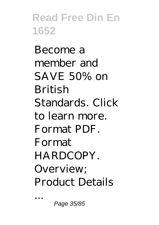Become a member and SAVE 50% on British Standards. Click to learn more. Format PDF. Format HARDCOPY. Overview; Product Details

Page 35/85

...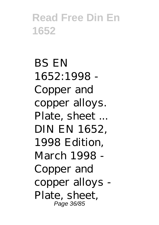BS EN 1652:1998 - Copper and copper alloys. Plate, sheet ... DIN EN 1652, 1998 Edition, March 1998 - Copper and copper alloys - Plate, sheet, Page 36/85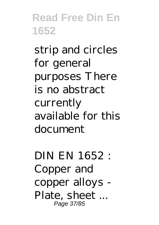strip and circles for general purposes There is no abstract currently available for this document

DIN EN 1652 : Copper and copper alloys - Plate, sheet ... Page 37/85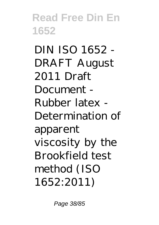DIN ISO 1652 - DRAFT August 2011 Draft Document - Rubber latex - Determination of apparent viscosity by the Brookfield test method (ISO 1652:2011)

Page 38/85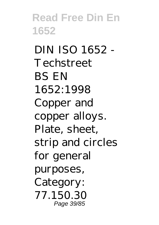DIN ISO 1652 - Techstreet BS EN 1652:1998 Copper and copper alloys. Plate, sheet, strip and circles for general purposes, Category: 77.150.30 Page 39/85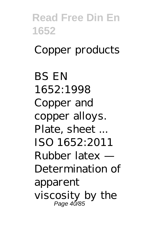**Read Free Din En 1652** Copper products BS EN 1652:1998 Copper and copper alloys. Plate, sheet ... ISO 1652:2011 Rubber latex — Determination of apparent viscosity by the Page 40/85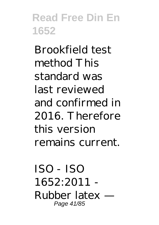Brookfield test method This standard was last reviewed and confirmed in 2016. Therefore this version remains current.

ISO - ISO 1652:2011 - Rubber latex — Page 41/85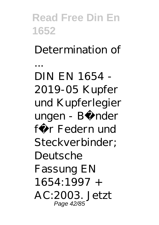**Read Free Din En 1652** Determination of ... DIN EN 1654 - 2019-05 Kupfer und Kupferlegier ungen - Bänder für Federn und Steckverbinder; Deutsche Fassung EN 1654:1997 + AC:2003. Jetzt Page 42/85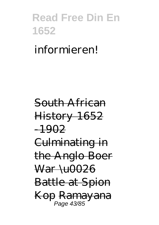#### informieren!

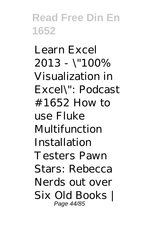*Learn Excel 2013 - \"100% Visualization in Excel\": Podcast #1652* How to use Fluke Multifunction Installation Testers *Pawn Stars: Rebecca Nerds out over Six Old Books |* Page 44/85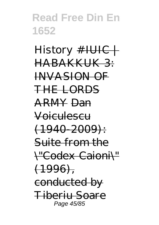*History* #IUIC | HABAKKUK 3: INVASION OF THE LORDS ARMY Dan Voiculescu  $(1940 - 2009)$ : Suite from the \"Codex Caioni\"  $(1996)$ conducted by Tiberiu Soare Page 45/85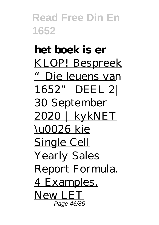**het boek is er** KLOP! Bespreek "Die leuens van 1652" DEEL 2| 30 September 2020 | kykNET \u0026 kie Single Cell Yearly Sales Report Formula. 4 Examples. New LET Page 46/85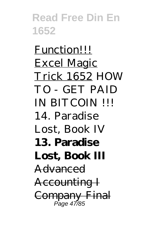Function!!! Excel Magic Trick 1652 *HOW TO - GET PAID IN BITCOIN !!! 14. Paradise Lost, Book IV* **13. Paradise Lost, Book III** Advanced Accounting I Company Final Page 47/85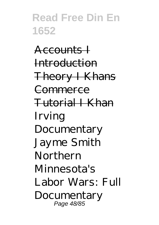Accounts I Introduction Theory I Khans Commerce Tutorial I Khan *Irving Documentary Jayme Smith Northern Minnesota's Labor Wars: Full Documentary* Page 48/85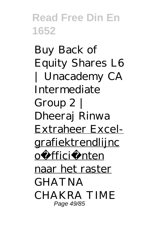*Buy Back of Equity Shares L6 | Unacademy CA Intermediate Group 2 | Dheeraj Rinwa* Extraheer Excelgrafiektrendlijnc oë fficië nten naar het raster *GHATNA CHAKRA TIME* Page 49/85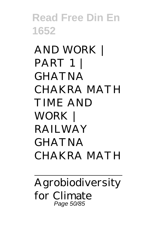*AND WORK | PART 1 | GHATNA CHAKRA MATH TIME AND WORK | RAILWAY GHATNA CHAKRA MATH*

Agrobiodiversity for Climate Page 50/85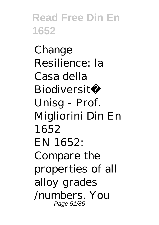Change Resilience: la Casa della Biodiversità Unisg - Prof. Migliorini Din En 1652 EN 1652: Compare the properties of all alloy grades /numbers. You Page 51/85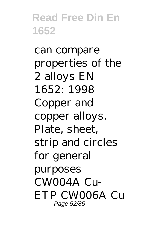can compare properties of the 2 alloys EN 1652: 1998 Copper and copper alloys. Plate, sheet, strip and circles for general purposes CW004A Cu-ETP CW006A Cu Page 52/85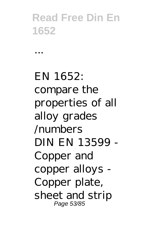...

EN 1652: compare the properties of all alloy grades /numbers DIN EN 13599 - Copper and copper alloys - Copper plate, sheet and strip Page 53/85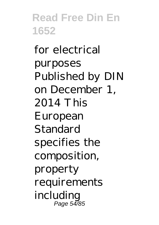for electrical purposes Published by DIN on December 1, 2014 This European Standard specifies the composition, property requirements including Page 54/85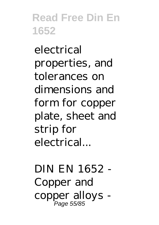electrical properties, and tolerances on dimensions and form for copper plate, sheet and strip for electrical...

DIN EN 1652 - Copper and copper alloys - Page 55/85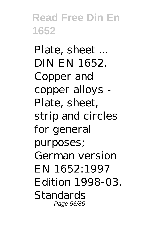Plate, sheet ... DIN EN 1652. Copper and copper alloys - Plate, sheet, strip and circles for general purposes; German version EN 1652:1997 Edition 1998-03. Standards Page 56/85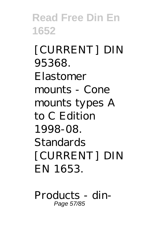[CURRENT] DIN 95368. Elastomer mounts - Cone mounts types A to C Edition 1998-08. Standards [CURRENT] DIN EN 1653.

Products - din-Page 57/85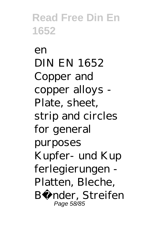$\rho$ n DIN EN 1652 Copper and copper alloys - Plate, sheet, strip and circles for general purposes Kupfer- und Kup ferlegierungen - Platten, Bleche, Bänder, Streifen Page 58/85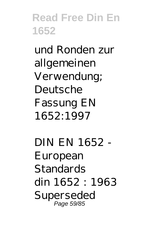und Ronden zur allgemeinen Verwendung; Deutsche Fassung EN 1652:1997

DIN EN 1652 - European Standards din 1652 : 1963 Superseded Page 59/85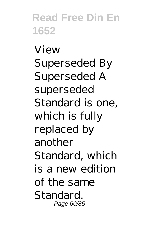View Superseded By Superseded A superseded Standard is one, which is fully replaced by another Standard, which is a new edition of the same Standard. Page 60/85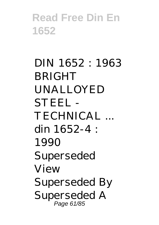DIN 1652 : 1963 **BRIGHT** UNALLOYED STEEL - TECHNICAL ... din 1652-4 : 1990 Superseded View Superseded By Superseded A Page 61/85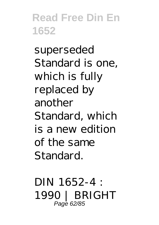superseded Standard is one, which is fully replaced by another Standard, which is a new edition of the same Standard.

DIN 1652-4 : 1990 | BRIGHT Page 62/85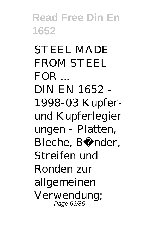STEEL MADE FROM STEEL  $FOR$ DIN EN 1652 - 1998-03 Kupferund Kupferlegier ungen - Platten, Bleche, Bänder, Streifen und Ronden zur allgemeinen Verwendung; Page 63/85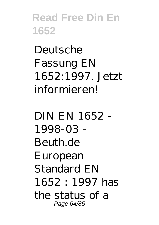Deutsche Fassung EN 1652:1997. Jetzt informieren!

DIN EN 1652 - 1998-03 - Beuth.de European Standard EN 1652 : 1997 has the status of a Page 64/85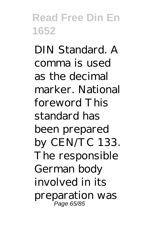DIN Standard. A comma is used as the decimal marker. National foreword This standard has been prepared by CEN/TC 133. The responsible German body involved in its preparation was Page 65/85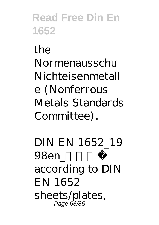the Normenausschu Nichteisenmetall e (Nonferrous Metals Standards Committee).

DIN EN 1652\_19 98en according to DIN EN 1652 sheets/plates, Page 66/85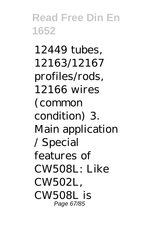12449 tubes, 12163/12167 profiles/rods, 12166 wires (common condition) 3. Main application / Special features of  $CWSO8I \cdot I$  ike CW502L, CW508L is Page 67/85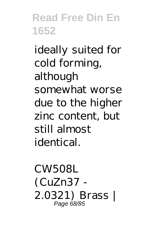ideally suited for cold forming, although somewhat worse due to the higher zinc content, but still almost identical.

CW508L (CuZn37 - 2.0321) Brass | Page 68/85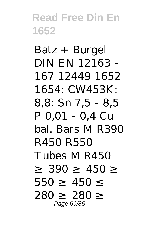Batz + Burgel DIN EN 12163 - 167 12449 1652 1654: CW453K: 8,8: Sn 7,5 - 8,5 P 0,01 - 0,4 Cu bal. Bars M R390 R450 R550 Tubes M R450  $390 - 450$  $550 - 450$ 280 <del>280</del> Page 69/85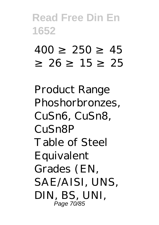# 400 250 45 ≥ 26 ≥ 15 ≥ 25

Product Range Phoshorbronzes, CuSn6, CuSn8, CuSn8P Table of Steel Equivalent Grades (EN, SAE/AISI, UNS, DIN, BS, UNI, Page 70/85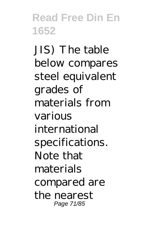JIS) The table below compares steel equivalent grades of materials from various international specifications. Note that materials compared are the nearest Page 71/85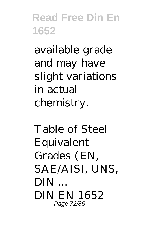available grade and may have slight variations in actual chemistry.

Table of Steel Equivalent Grades (EN, SAE/AISI, UNS, DIN ... DIN EN 1652 Page 72/85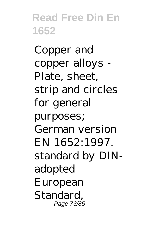Copper and copper alloys - Plate, sheet, strip and circles for general purposes; German version EN 1652:1997. standard by DINadopted European Standard, Page 73/85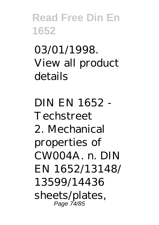03/01/1998. View all product details

DIN EN 1652 - Techstreet 2. Mechanical properties of CW004A. n. DIN EN 1652/13148/ 13599/14436 sheets/plates, Page 74/85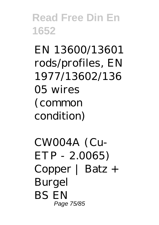EN 13600/13601 rods/profiles, EN 1977/13602/136 05 wires (common condition)

CW004A (Cu-ETP - 2.0065) Copper | Batz + Burgel BS EN Page 75/85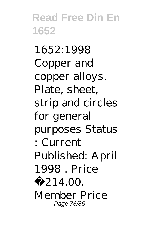1652:1998 Copper and copper alloys. Plate, sheet, strip and circles for general purposes Status : Current Published: April 1998 Price £ 214.00 Member Price Page 76/85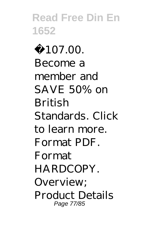£107.00. Become a member and SAVE 50% on British Standards. Click to learn more. Format PDF. Format HARDCOPY. Overview; Product Details Page 77/85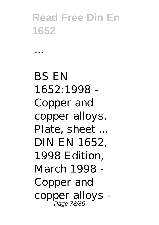...

BS EN 1652:1998 - Copper and copper alloys. Plate, sheet ... DIN EN 1652, 1998 Edition, March 1998 - Copper and copper alloys - Page 78/85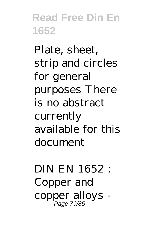Plate, sheet, strip and circles for general purposes There is no abstract currently available for this document

DIN EN 1652 : Copper and copper alloys - Page 79/85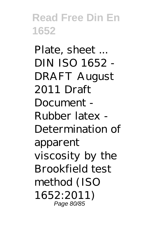Plate, sheet ... DIN ISO 1652 - DRAFT August 2011 Draft Document - Rubber latex - Determination of apparent viscosity by the Brookfield test method (ISO 1652:2011) Page 80/85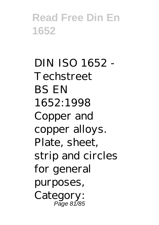DIN ISO 1652 - Techstreet BS EN 1652:1998 Copper and copper alloys. Plate, sheet, strip and circles for general purposes, Category: Page 81/85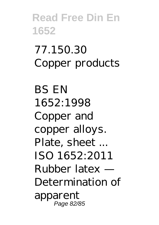# 77.150.30 Copper products

BS EN 1652:1998 Copper and copper alloys. Plate, sheet ... ISO 1652:2011 Rubber latex — Determination of apparent Page 82/85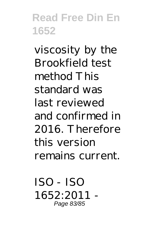viscosity by the Brookfield test method This standard was last reviewed and confirmed in 2016. Therefore this version remains current.

ISO - ISO 1652:2011 - Page 83/85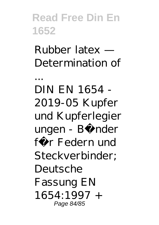Rubber latex — Determination of

...

DIN EN 1654 - 2019-05 Kupfer und Kupferlegier ungen - Bänder für Federn und Steckverbinder; Deutsche Fassung EN 1654:1997 + Page 84/85